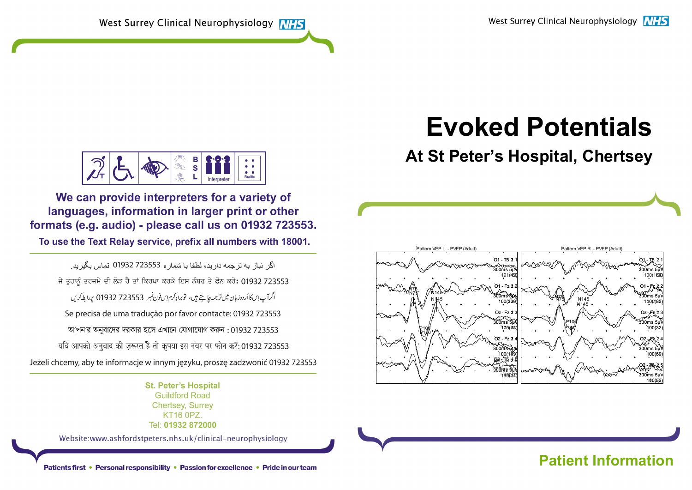West Surrey Clinical Neurophysiology MHS

# Evoked Potentials

# At St Peter's Hospital, Chertsey



# Patients first • Personal responsibility • Passion for excellence • Pride in our team<br>Patients first • Personal responsibility • Passion for excellence • Pride in our team



We can provide interpreters for a variety of languages, information in larger print or other formats (e.g. audio) - please call us on 01932 723553.

To use the Text Relay service, prefix all numbers with 18001.

اگر انباز به تر چمه دارید، لطفا با شمار ه 723553 01932 تماس بگیرید. ਜੇ ਤੁਹਾਨੂੰ ਤਰਜਮੇ ਦੀ ਲੋੜ ਹੈ ਤਾਂ ਕਿਰਪਾ ਕਰਕੇ ਇਸ ਨੰਬਰ ਤੇ ਫੋਨ ਕਰੋ: 01932 723553 اگرآپ اِس کاأردوزبان میں ترجمہ چاہتے ہیں، توبراہ کرم اِس فون نمبر 723553 01932 پر ابط کریں Se precisa de uma tradução por favor contacte: 01932 723553 আপনার অনবাদের দরকার হলে এখানে যোগাযোগ করুন: 01932 723553 यदि आपको अनुवाद की ज़रूरत है तो कृपया इस नंबर पर फोन करें: 01932 723553 Jeżeli chcemy, aby te informacje w innym języku, proszę zadzwonić 01932 723553

> **St. Peter's Hospital Guildford Road Chertsey, Surrey KT16 0PZ** Tel: 01932 872000

Website:www.ashfordstpeters.nhs.uk/clinical-neurophysiology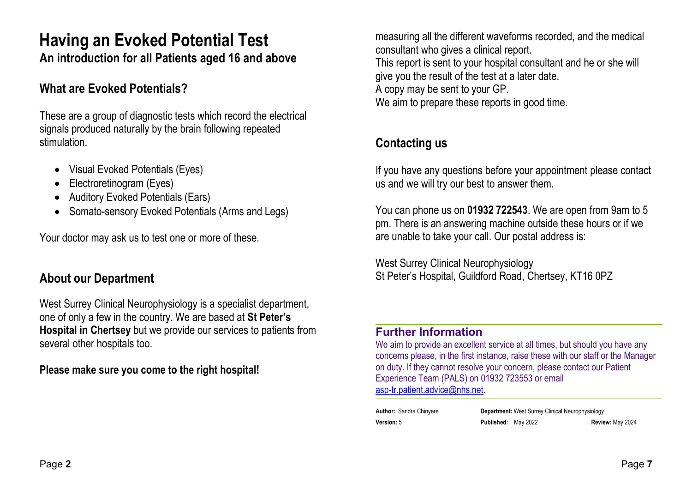# Having an Evoked Potential Test An introduction for all Patients aged 16 and above

# What are Evoked Potentials?

These are a group of diagnostic tests which record the electrical signals produced naturally by the brain following repeated stimulation.

- Visual Evoked Potentials (Eyes)
- Electroretinogram (Eyes)
- Auditory Evoked Potentials (Ears)
- Somato-sensory Evoked Potentials (Arms and Legs)

Your doctor may ask us to test one or more of these.

# About our Department

West Surrey Clinical Neurophysiology is a specialist department, one of only a few in the country. We are based at St Peter's Hospital in Chertsey but we provide our services to patients from several other hospitals too.

Please make sure you come to the right hospital!

measuring all the different waveforms recorded, and the medical consultant who gives a clinical report. This report is sent to your hospital consultant and he or she will give you the result of the test at a later date. A copy may be sent to your GP. We aim to prepare these reports in good time.

# Contacting us

If you have any questions before your appointment please contact us and we will try our best to answer them.

You can phone us on 01932 722543. We are open from 9am to 5 pm. There is an answering machine outside these hours or if we are unable to take your call. Our postal address is:

West Surrey Clinical Neurophysiology St Peter's Hospital, Guildford Road, Chertsey, KT16 0PZ

#### Further Information

We aim to provide an excellent service at all times, but should you have any concerns please, in the first instance, raise these with our staff or the Manager on duty. If they cannot resolve your concern, please contact our Patient Experience Team (PALS) on 01932 723553 or email asp-tr.patient.advice@nhs.net.

Author: Sandra Chinyere **Department:** West Surrey Clinical Neurophysiology Version: 5 Published: May 2022 Review: May 2024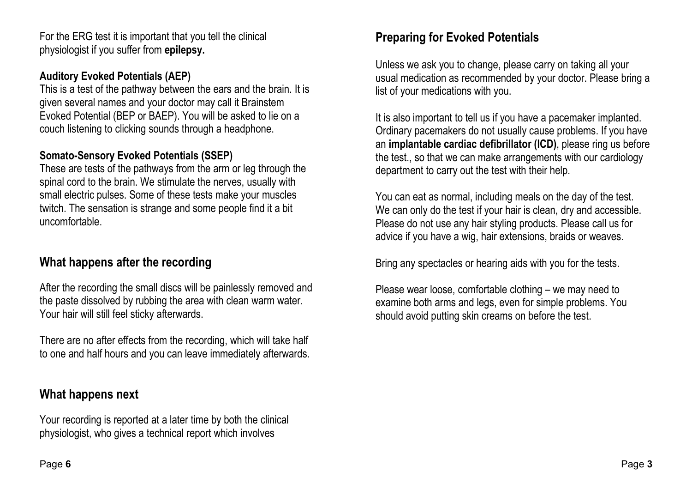For the ERG test it is important that you tell the clinical physiologist if you suffer from epilepsy.

#### Auditory Evoked Potentials (AEP)

This is a test of the pathway between the ears and the brain. It is given several names and your doctor may call it Brainstem Evoked Potential (BEP or BAEP). You will be asked to lie on a couch listening to clicking sounds through a headphone.

#### Somato-Sensory Evoked Potentials (SSEP)

These are tests of the pathways from the arm or leg through the spinal cord to the brain. We stimulate the nerves, usually with small electric pulses. Some of these tests make your muscles twitch. The sensation is strange and some people find it a bit uncomfortable.

# What happens after the recording

After the recording the small discs will be painlessly removed and the paste dissolved by rubbing the area with clean warm water. Your hair will still feel sticky afterwards.

There are no after effects from the recording, which will take half to one and half hours and you can leave immediately afterwards.

# What happens next

Your recording is reported at a later time by both the clinical physiologist, who gives a technical report which involves

# Preparing for Evoked Potentials

Unless we ask you to change, please carry on taking all your usual medication as recommended by your doctor. Please bring a list of your medications with you.

It is also important to tell us if you have a pacemaker implanted. Ordinary pacemakers do not usually cause problems. If you have an implantable cardiac defibrillator (ICD), please ring us before the test., so that we can make arrangements with our cardiology department to carry out the test with their help.

You can eat as normal, including meals on the day of the test. We can only do the test if your hair is clean, dry and accessible. Please do not use any hair styling products. Please call us for advice if you have a wig, hair extensions, braids or weaves.

Bring any spectacles or hearing aids with you for the tests.

Please wear loose, comfortable clothing – we may need to examine both arms and legs, even for simple problems. You should avoid putting skin creams on before the test.